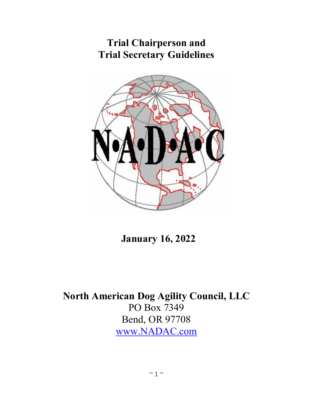# **Trial Chairperson and Trial Secretary Guidelines**



 **January 16, 2022**

**North American Dog Agility Council, LLC** PO Box 7349 Bend, OR 97708 [www.NADAC.com](http://www.nadac.com/)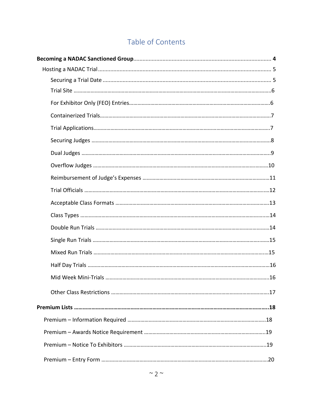# Table of Contents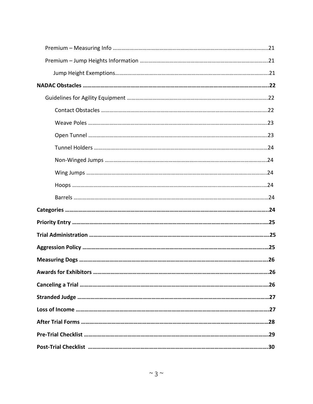| 26 |
|----|
|    |
|    |
|    |
|    |
|    |
|    |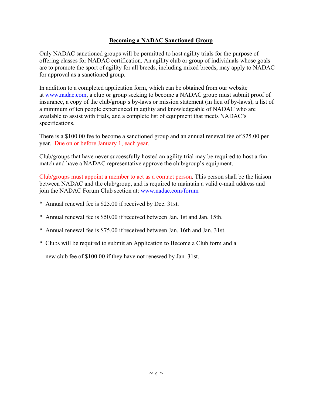## **Becoming a NADAC Sanctioned Group**

Only NADAC sanctioned groups will be permitted to host agility trials for the purpose of offering classes for NADAC certification. An agility club or group of individuals whose goals are to promote the sport of agility for all breeds, including mixed breeds, may apply to NADAC for approval as a sanctioned group.

In addition to a completed application form, which can be obtained from our website at [www.nadac.com,](http://www.nadac.com/) a club or group seeking to become a NADAC group must submit proof of insurance, a copy of the club/group's by-laws or mission statement (in lieu of by-laws), a list of a minimum of ten people experienced in agility and knowledgeable of NADAC who are available to assist with trials, and a complete list of equipment that meets NADAC's specifications.

There is a \$100.00 fee to become a sanctioned group and an annual renewal fee of \$25.00 per year. Due on or before January 1, each year.

Club/groups that have never successfully hosted an agility trial may be required to host a fun match and have a NADAC representative approve the club/group's equipment.

Club/groups must appoint a member to act as a contact person. This person shall be the liaison between NADAC and the club/group, and is required to maintain a valid e-mail address and join the NADAC Forum Club section at: www.nadac.com/forum

- \* Annual renewal fee is \$25.00 if received by Dec. 31st.
- \* Annual renewal fee is \$50.00 if received between Jan. 1st and Jan. 15th.
- \* Annual renewal fee is \$75.00 if received between Jan. 16th and Jan. 31st.
- \* Clubs will be required to submit an Application to Become a Club form and a

new club fee of \$100.00 if they have not renewed by Jan. 31st.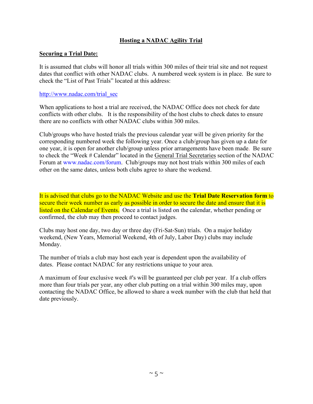## **Hosting a NADAC Agility Trial**

#### **Securing a Trial Date:**

It is assumed that clubs will honor all trials within 300 miles of their trial site and not request dates that conflict with other NADAC clubs. A numbered week system is in place. Be sure to check the "List of Past Trials" located at this address:

#### [http://www.nadac.com/trial\\_sec](http://www.nadac.com/trial_sec)

When applications to host a trial are received, the NADAC Office does not check for date conflicts with other clubs. It is the responsibility of the host clubs to check dates to ensure there are no conflicts with other NADAC clubs within 300 miles.

Club/groups who have hosted trials the previous calendar year will be given priority for the corresponding numbered week the following year. Once a club/group has given up a date for one year, it is open for another club/group unless prior arrangements have been made. Be sure to check the "Week # Calendar" located in the General Trial Secretaries section of the NADAC Forum at www.nadac.com/forum. Club/groups may not host trials within 300 miles of each other on the same dates, unless both clubs agree to share the weekend.

It is advised that clubs go to the NADAC Website and use the **Trial Date Reservation form** to secure their week number as early as possible in order to secure the date and ensure that it is listed on the Calendar of Events. Once a trial is listed on the calendar, whether pending or confirmed, the club may then proceed to contact judges.

Clubs may host one day, two day or three day (Fri-Sat-Sun) trials. On a major holiday weekend, (New Years, Memorial Weekend, 4th of July, Labor Day) clubs may include Monday.

The number of trials a club may host each year is dependent upon the availability of dates. Please contact NADAC for any restrictions unique to your area.

A maximum of four exclusive week #'s will be guaranteed per club per year. If a club offers more than four trials per year, any other club putting on a trial within 300 miles may, upon contacting the NADAC Office, be allowed to share a week number with the club that held that date previously.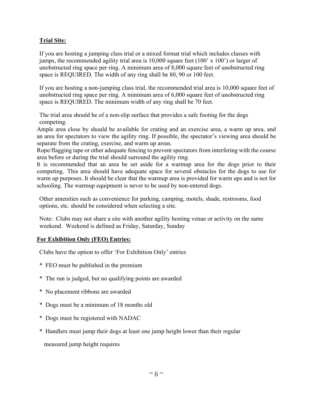## **Trial Site:**

If you are hosting a jumping class trial or a mixed format trial which includes classes with jumps, the recommended agility trial area is 10,000 square feet (100' x 100') or larger of unobstructed ring space per ring. A minimum area of 8,000 square feet of unobstructed ring space is REQUIRED. The width of any ring shall be 80, 90 or 100 feet.

If you are hosting a non-jumping class trial, the recommended trial area is 10,000 square feet of unobstructed ring space per ring. A minimum area of 6,000 square feet of unobstructed ring space is REQUIRED. The minimum width of any ring shall be 70 feet.

The trial area should be of a non-slip surface that provides a safe footing for the dogs competing.

Ample area close by should be available for crating and an exercise area, a warm up area, and an area for spectators to view the agility ring. If possible, the spectator's viewing area should be separate from the crating, exercise, and warm up areas.

Rope/flagging tape or other adequate fencing to prevent spectators from interfering with the course area before or during the trial should surround the agility ring.

It is recommended that an area be set aside for a warmup area for the dogs prior to their competing. This area should have adequate space for several obstacles for the dogs to use for warm up purposes. It should be clear that the warmup area is provided for warm ups and is not for schooling. The warmup equipment is never to be used by non-entered dogs.

Other amenities such as convenience for parking, camping, motels, shade, restrooms, food options, etc. should be considered when selecting a site.

Note: Clubs may not share a site with another agility hosting venue or activity on the same weekend. Weekend is defined as Friday, Saturday, Sunday

## **For Exhibition Only (FEO) Entries:**

Clubs have the option to offer 'For Exhibition Only' entries

- \* FEO must be published in the premium
- \* The run is judged, but no qualifying points are awarded
- \* No placement ribbons are awarded
- \* Dogs must be a minimum of 18 months old
- \* Dogs must be registered with NADAC
- \* Handlers must jump their dogs at least one jump height lower than their regular
	- measured jump height requires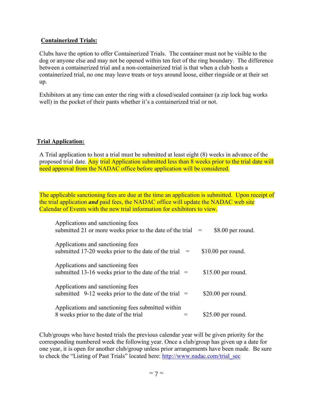## **Containerized Trials:**

Clubs have the option to offer Containerized Trials. The container must not be visible to the dog or anyone else and may not be opened within ten feet of the ring boundary. The difference between a containerized trial and a non-containerized trial is that when a club hosts a containerized trial, no one may leave treats or toys around loose, either ringside or at their set up.

Exhibitors at any time can enter the ring with a closed/sealed container (a zip lock bag works well) in the pocket of their pants whether it's a containerized trial or not.

# **Trial Application:**

A Trial application to host a trial must be submitted at least eight (8) weeks in advance of the proposed trial date. Any trial Application submitted less than 8 weeks prior to the trial date will need approval from the NADAC office before application will be considered.

The applicable sanctioning fees are due at the time an application is submitted. Upon receipt of the trial application *and* paid fees, the NADAC office will update the NADAC web site Calendar of Events with the new trial information for exhibitors to view.

| Applications and sanctioning fees<br>submitted 21 or more weeks prior to the date of the trial $=$ |  | \$8.00 per round.   |
|----------------------------------------------------------------------------------------------------|--|---------------------|
| Applications and sanctioning fees<br>submitted 17-20 weeks prior to the date of the trial $=$      |  | $$10.00$ per round. |
| Applications and sanctioning fees<br>submitted 13-16 weeks prior to the date of the trial $=$      |  | $$15.00$ per round. |
| Applications and sanctioning fees<br>submitted 9-12 weeks prior to the date of the trial $=$       |  | $$20.00$ per round. |
| Applications and sanctioning fees submitted within<br>8 weeks prior to the date of the trial       |  | $$25.00$ per round. |

Club/groups who have hosted trials the previous calendar year will be given priority for the corresponding numbered week the following year. Once a club/group has given up a date for one year, it is open for another club/group unless prior arrangements have been made. Be sure to check the "Listing of Past Trials" located here: [http://www.nadac.com/trial\\_sec](http://www.nadac.com/trial_sec)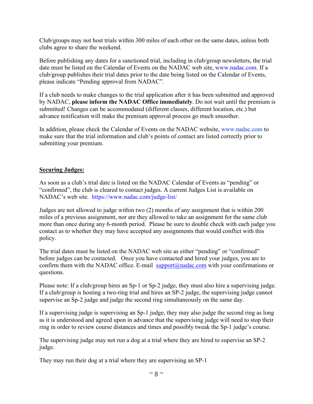Club/groups may not host trials within 300 miles of each other on the same dates, unless both clubs agree to share the weekend.

Before publishing any dates for a sanctioned trial, including in club/group newsletters, the trial date must be listed on the Calendar of Events on the NADAC web site, www.nadac.com. If a club/group publishes their trial dates prior to the date being listed on the Calendar of Events, please indicate "Pending approval from NADAC".

If a club needs to make changes to the trial application after it has been submitted and approved by NADAC, **please inform the NADAC Office immediately**. Do not wait until the premium is submitted! Changes can be accommodated (different classes, different location, etc.) but advance notification will make the premium approval process go much smoother.

In addition, please check the Calendar of Events on the NADAC website, www.nadac.com to make sure that the trial information and club's points of contact are listed correctly prior to submitting your premium.

## **Securing Judges:**

As soon as a club's trial date is listed on the NADAC Calendar of Events as "pending" or "confirmed", the club is cleared to contact judges. A current Judges List is available on NADAC's web site. https://www.nadac.com/judge-list/

Judges are not allowed to judge within two (2) months of any assignment that is within 200 miles of a previous assignment, nor are they allowed to take an assignment for the same club more than once during any 6-month period. Please be sure to double check with each judge you contact as to whether they may have accepted any assignments that would conflict with this policy.

The trial dates must be listed on the NADAC web site as either "pending" or "confirmed" before judges can be contacted. Once you have contacted and hired your judges, you are to confirm them with the NADAC office. E-mail  $\frac{\text{support}(Q)\text{ndac.com}}{\text{student}(Q)\text{ndac.com}}$  with your confirmations or questions.

Please note: If a club/group hires an Sp-1 or Sp-2 judge, they must also hire a supervising judge. If a club/group is hosting a two-ring trial and hires an SP-2 judge, the supervising judge cannot supervise an Sp-2 judge and judge the second ring simultaneously on the same day.

If a supervising judge is supervising an Sp-1 judge, they may also judge the second ring as long as it is understood and agreed upon in advance that the supervising judge will need to stop their ring in order to review course distances and times and possibly tweak the Sp-1 judge's course.

The supervising judge may not run a dog at a trial where they are hired to supervise an SP-2 judge.

They may run their dog at a trial where they are supervising an SP-1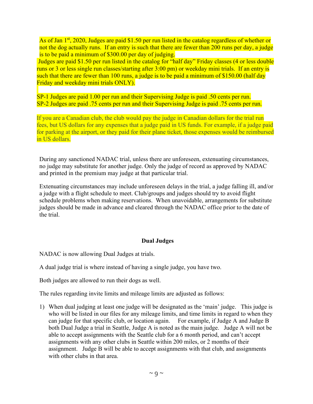As of Jan  $1<sup>st</sup>$ , 2020, Judges are paid \$1.50 per run listed in the catalog regardless of whether or not the dog actually runs. If an entry is such that there are fewer than 200 runs per day, a judge is to be paid a minimum of \$300.00 per day of judging.

Judges are paid \$1.50 per run listed in the catalog for "half day" Friday classes (4 or less double runs or 3 or less single run classes/starting after 3:00 pm) or weekday mini trials. If an entry is such that there are fewer than 100 runs, a judge is to be paid a minimum of \$150.00 (half day Friday and weekday mini trials ONLY).

SP-1 Judges are paid 1.00 per run and their Supervising Judge is paid .50 cents per run. SP-2 Judges are paid .75 cents per run and their Supervising Judge is paid .75 cents per run.

If you are a Canadian club, the club would pay the judge in Canadian dollars for the trial run fees, but US dollars for any expenses that a judge paid in US funds. For example, if a judge paid for parking at the airport, or they paid for their plane ticket, those expenses would be reimbursed in US dollars.

During any sanctioned NADAC trial, unless there are unforeseen, extenuating circumstances, no judge may substitute for another judge. Only the judge of record as approved by NADAC and printed in the premium may judge at that particular trial.

Extenuating circumstances may include unforeseen delays in the trial, a judge falling ill, and/or a judge with a flight schedule to meet. Club/groups and judges should try to avoid flight schedule problems when making reservations. When unavoidable, arrangements for substitute judges should be made in advance and cleared through the NADAC office prior to the date of the trial.

# **Dual Judges**

NADAC is now allowing Dual Judges at trials.

A dual judge trial is where instead of having a single judge, you have two.

Both judges are allowed to run their dogs as well.

The rules regarding invite limits and mileage limits are adjusted as follows:

1) When dual judging at least one judge will be designated as the 'main' judge. This judge is who will be listed in our files for any mileage limits, and time limits in regard to when they can judge for that specific club, or location again. For example, if Judge A and Judge B both Dual Judge a trial in Seattle, Judge A is noted as the main judge. Judge A will not be able to accept assignments with the Seattle club for a 6 month period, and can't accept assignments with any other clubs in Seattle within 200 miles, or 2 months of their assignment. Judge B will be able to accept assignments with that club, and assignments with other clubs in that area.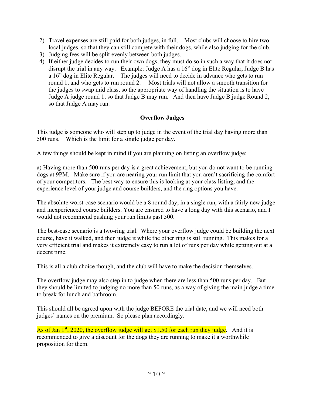- 2) Travel expenses are still paid for both judges, in full. Most clubs will choose to hire two local judges, so that they can still compete with their dogs, while also judging for the club.
- 3) Judging fees will be split evenly between both judges.
- 4) If either judge decides to run their own dogs, they must do so in such a way that it does not disrupt the trial in any way. Example: Judge A has a 16" dog in Elite Regular, Judge B has a 16" dog in Elite Regular. The judges will need to decide in advance who gets to run round 1, and who gets to run round 2. Most trials will not allow a smooth transition for the judges to swap mid class, so the appropriate way of handling the situation is to have Judge A judge round 1, so that Judge B may run. And then have Judge B judge Round 2, so that Judge A may run.

# **Overflow Judges**

This judge is someone who will step up to judge in the event of the trial day having more than 500 runs. Which is the limit for a single judge per day.

A few things should be kept in mind if you are planning on listing an overflow judge:

a) Having more than 500 runs per day is a great achievement, but you do not want to be running dogs at 9PM. Make sure if you are nearing your run limit that you aren't sacrificing the comfort of your competitors. The best way to ensure this is looking at your class listing, and the experience level of your judge and course builders, and the ring options you have.

The absolute worst-case scenario would be a 8 round day, in a single run, with a fairly new judge and inexperienced course builders. You are ensured to have a long day with this scenario, and I would not recommend pushing your run limits past 500.

The best-case scenario is a two-ring trial. Where your overflow judge could be building the next course, have it walked, and then judge it while the other ring is still running. This makes for a very efficient trial and makes it extremely easy to run a lot of runs per day while getting out at a decent time.

This is all a club choice though, and the club will have to make the decision themselves.

The overflow judge may also step in to judge when there are less than 500 runs per day. But they should be limited to judging no more than 50 runs, as a way of giving the main judge a time to break for lunch and bathroom.

This should all be agreed upon with the judge BEFORE the trial date, and we will need both judges' names on the premium. So please plan accordingly.

As of Jan  $1^{st}$ , 2020, the overflow judge will get \$1.50 for each run they judge. And it is recommended to give a discount for the dogs they are running to make it a worthwhile proposition for them.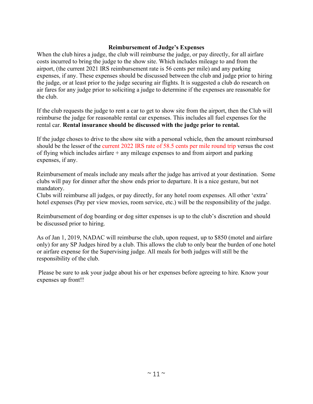## **Reimbursement of Judge's Expenses**

When the club hires a judge, the club will reimburse the judge, or pay directly, for all airfare costs incurred to bring the judge to the show site. Which includes mileage to and from the airport, (the current 2021 IRS reimbursement rate is 56 cents per mile) and any parking expenses, if any. These expenses should be discussed between the club and judge prior to hiring the judge, or at least prior to the judge securing air flights. It is suggested a club do research on air fares for any judge prior to soliciting a judge to determine if the expenses are reasonable for the club.

If the club requests the judge to rent a car to get to show site from the airport, then the Club will reimburse the judge for reasonable rental car expenses. This includes all fuel expenses for the rental car. **Rental insurance should be discussed with the judge prior to rental.**

If the judge choses to drive to the show site with a personal vehicle, then the amount reimbursed should be the lesser of the current 2022 IRS rate of 58.5 cents per mile round trip versus the cost of flying which includes airfare  $+$  any mileage expenses to and from airport and parking expenses, if any.

Reimbursement of meals include any meals after the judge has arrived at your destination. Some clubs will pay for dinner after the show ends prior to departure. It is a nice gesture, but not mandatory.

Clubs will reimburse all judges, or pay directly, for any hotel room expenses. All other 'extra' hotel expenses (Pay per view movies, room service, etc.) will be the responsibility of the judge.

Reimbursement of dog boarding or dog sitter expenses is up to the club's discretion and should be discussed prior to hiring.

As of Jan 1, 2019, NADAC will reimburse the club, upon request, up to \$850 (motel and airfare only) for any SP Judges hired by a club. This allows the club to only bear the burden of one hotel or airfare expense for the Supervising judge. All meals for both judges will still be the responsibility of the club.

Please be sure to ask your judge about his or her expenses before agreeing to hire. Know your expenses up front!!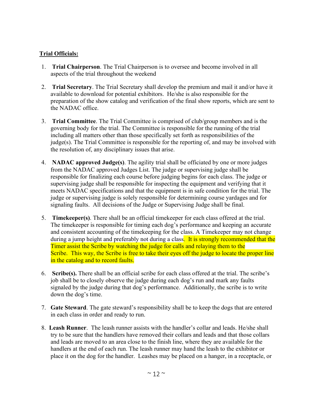# **Trial Officials:**

- 1. **Trial Chairperson**. The Trial Chairperson is to oversee and become involved in all aspects of the trial throughout the weekend
- 2. **Trial Secretary**. The Trial Secretary shall develop the premium and mail it and/or have it available to download for potential exhibitors. He/she is also responsible for the preparation of the show catalog and verification of the final show reports, which are sent to the NADAC office.
- 3. **Trial Committee**. The Trial Committee is comprised of club/group members and is the governing body for the trial. The Committee is responsible for the running of the trial including all matters other than those specifically set forth as responsibilities of the judge(s). The Trial Committee is responsible for the reporting of, and may be involved with the resolution of, any disciplinary issues that arise.
- 4. **NADAC approved Judge(s)**. The agility trial shall be officiated by one or more judges from the NADAC approved Judges List. The judge or supervising judge shall be responsible for finalizing each course before judging begins for each class. The judge or supervising judge shall be responsible for inspecting the equipment and verifying that it meets NADAC specifications and that the equipment is in safe condition for the trial. The judge or supervising judge is solely responsible for determining course yardages and for signaling faults. All decisions of the Judge or Supervising Judge shall be final.
- 5. **Timekeeper(s)**. There shall be an official timekeeper for each class offered at the trial. The timekeeper is responsible for timing each dog's performance and keeping an accurate and consistent accounting of the timekeeping for the class. A Timekeeper may not change during a jump height and preferably not during a class. It is strongly recommended that the Timer assist the Scribe by watching the judge for calls and relaying them to the Scribe. This way, the Scribe is free to take their eyes off the judge to locate the proper line in the catalog and to record faults.
- 6. **Scribe(s).** There shall be an official scribe for each class offered at the trial. The scribe's job shall be to closely observe the judge during each dog's run and mark any faults signaled by the judge during that dog's performance. Additionally, the scribe is to write down the dog's time.
- 7. **Gate Steward**. The gate steward's responsibility shall be to keep the dogs that are entered in each class in order and ready to run.
- 8. **Leash Runner**. The leash runner assists with the handler's collar and leads. He/she shall try to be sure that the handlers have removed their collars and leads and that those collars and leads are moved to an area close to the finish line, where they are available for the handlers at the end of each run. The leash runner may hand the leash to the exhibitor or place it on the dog for the handler. Leashes may be placed on a hanger, in a receptacle, or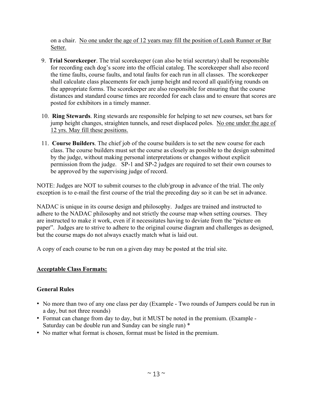on a chair. No one under the age of 12 years may fill the position of Leash Runner or Bar Setter.

- 9. **Trial Scorekeeper**. The trial scorekeeper (can also be trial secretary) shall be responsible for recording each dog's score into the official catalog. The scorekeeper shall also record the time faults, course faults, and total faults for each run in all classes. The scorekeeper shall calculate class placements for each jump height and record all qualifying rounds on the appropriate forms. The scorekeeper are also responsible for ensuring that the course distances and standard course times are recorded for each class and to ensure that scores are posted for exhibitors in a timely manner.
- 10. **Ring Stewards**. Ring stewards are responsible for helping to set new courses, set bars for jump height changes, straighten tunnels, and reset displaced poles. No one under the age of 12 yrs. May fill these positions.
- 11. **Course Builders**. The chief job of the course builders is to set the new course for each class. The course builders must set the course as closely as possible to the design submitted by the judge, without making personal interpretations or changes without explicit permission from the judge. SP-1 and SP-2 judges are required to set their own courses to be approved by the supervising judge of record.

NOTE: Judges are NOT to submit courses to the club/group in advance of the trial. The only exception is to e-mail the first course of the trial the preceding day so it can be set in advance.

NADAC is unique in its course design and philosophy. Judges are trained and instructed to adhere to the NADAC philosophy and not strictly the course map when setting courses. They are instructed to make it work, even if it necessitates having to deviate from the "picture on paper". Judges are to strive to adhere to the original course diagram and challenges as designed, but the course maps do not always exactly match what is laid out.

A copy of each course to be run on a given day may be posted at the trial site.

# **Acceptable Class Formats:**

# **General Rules**

- No more than two of any one class per day (Example Two rounds of Jumpers could be run in a day, but not three rounds)
- Format can change from day to day, but it MUST be noted in the premium. (Example Saturday can be double run and Sunday can be single run) \*
- No matter what format is chosen, format must be listed in the premium.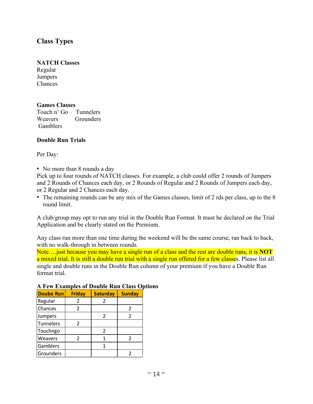# **Class Types**

#### **NATCH Classes**

Regular Jumpers Chances

#### **Games Classes**

Touch n' Go Tunnelers Weavers Grounders Gamblers

#### **Double Run Trials**

Per Day:

• No more than 8 rounds a day

Pick up to four rounds of NATCH classes. For example, a club could offer 2 rounds of Jumpers and 2 Rounds of Chances each day, or 2 Rounds of Regular and 2 Rounds of Jumpers each day, or 2 Regular and 2 Chances each day.

• The remaining rounds can be any mix of the Games classes, limit of 2 rds per class, up to the 8 round limit.

A club/group may opt to run any trial in the Double Run Format. It must be declared on the Trial Application and be clearly stated on the Premium.

Any class run more than one time during the weekend will be the same course, ran back to back, with no walk-through in between rounds.

Note….just because you may have a single run of a class and the rest are double runs, it is **NOT** a mixed trial. It is still a double run trial with a single run offered for a few classes. Please list all single and double runs in the Double Run column of your premium if you have a Double Run format trial.

| <b>Doube Run</b> | <b>Friday</b> | <b>Saturday</b> | <b>Sunday</b> |
|------------------|---------------|-----------------|---------------|
| Regular          | 2             | 2               |               |
| Chances          | $\mathcal{P}$ |                 |               |
| Jumpers          |               | $\mathcal{P}$   | $\mathcal{P}$ |
| <b>Tunnelers</b> | $\mathcal{L}$ |                 |               |
| Touchngo         |               | 2               |               |
| Weavers          | 2             |                 |               |
| Gamblers         |               |                 |               |
| Grounders        |               |                 |               |

#### **A Few Examples of Double Run Class Options**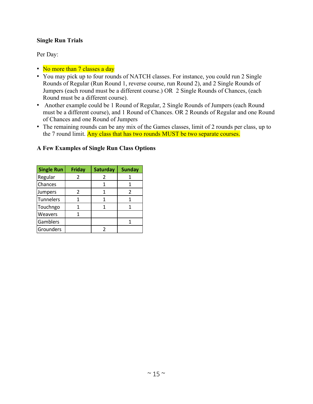## **Single Run Trials**

Per Day:

- No more than 7 classes a day
- You may pick up to four rounds of NATCH classes. For instance, you could run 2 Single Rounds of Regular (Run Round 1, reverse course, run Round 2), and 2 Single Rounds of Jumpers (each round must be a different course.) OR 2 Single Rounds of Chances, (each Round must be a different course).
- Another example could be 1 Round of Regular, 2 Single Rounds of Jumpers (each Round must be a different course), and 1 Round of Chances. OR 2 Rounds of Regular and one Round of Chances and one Round of Jumpers
- The remaining rounds can be any mix of the Games classes, limit of 2 rounds per class, up to the 7 round limit. Any class that has two rounds MUST be two separate courses.

| <b>Single Run</b> | <b>Friday</b> | <b>Saturday</b> | <b>Sunday</b> |
|-------------------|---------------|-----------------|---------------|
| Regular           | 2             | 2               |               |
| Chances           |               |                 |               |
| Jumpers           | 2             |                 | 2             |
| Tunnelers         |               |                 |               |
| Touchngo          |               |                 |               |
| Weavers           |               |                 |               |
| Gamblers          |               |                 |               |
| Grounders         |               |                 |               |

#### **A Few Examples of Single Run Class Options**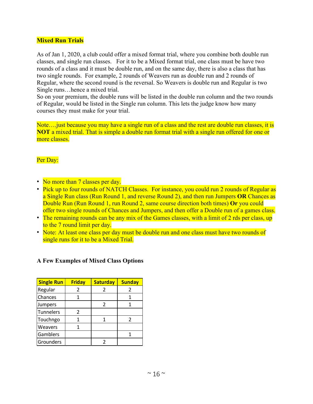## **Mixed Run Trials**

As of Jan 1, 2020, a club could offer a mixed format trial, where you combine both double run classes, and single run classes. For it to be a Mixed format trial, one class must be have two rounds of a class and it must be double run, and on the same day, there is also a class that has two single rounds. For example, 2 rounds of Weavers run as double run and 2 rounds of Regular, where the second round is the reversal. So Weavers is double run and Regular is two Single runs…hence a mixed trial.

So on your premium, the double runs will be listed in the double run column and the two rounds of Regular, would be listed in the Single run column. This lets the judge know how many courses they must make for your trial.

Note….just because you may have a single run of a class and the rest are double run classes, it is **NOT** a mixed trial. That is simple a double run format trial with a single run offered for one or more classes.

## Per Day:

- No more than 7 classes per day.
- Pick up to four rounds of NATCH Classes. For instance, you could run 2 rounds of Regular as a Single Run class (Run Round 1, and reverse Round 2), and then run Jumpers **OR** Chances as Double Run (Run Round 1, run Round 2, same course direction both times) **Or** you could offer two single rounds of Chances and Jumpers, and then offer a Double run of a games class.
- The remaining rounds can be any mix of the Games classes, with a limit of 2 rds per class, up to the 7 round limit per day.
- Note: At least one class per day must be double run and one class must have two rounds of single runs for it to be a Mixed Trial.

#### **A Few Examples of Mixed Class Options**

| <b>Single Run</b> | <b>Friday</b> | <b>Saturday</b> | <b>Sunday</b> |
|-------------------|---------------|-----------------|---------------|
| Regular           | 2             | 2               | 2             |
| Chances           |               |                 |               |
| Jumpers           |               | 2               |               |
| <b>Tunnelers</b>  | $\mathcal{P}$ |                 |               |
| Touchngo          |               |                 |               |
| Weavers           |               |                 |               |
| Gamblers          |               |                 |               |
| Grounders         |               |                 |               |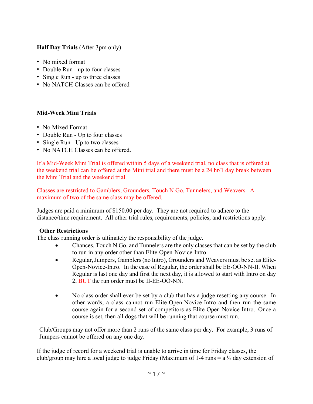## **Half Day Trials** (After 3pm only)

- No mixed format
- Double Run up to four classes
- Single Run up to three classes
- No NATCH Classes can be offered

## **Mid-Week Mini Trials**

- No Mixed Format
- Double Run Up to four classes
- Single Run Up to two classes
- No NATCH Classes can be offered.

If a Mid-Week Mini Trial is offered within 5 days of a weekend trial, no class that is offered at the weekend trial can be offered at the Mini trial and there must be a 24 hr/1 day break between the Mini Trial and the weekend trial.

Classes are restricted to Gamblers, Grounders, Touch N Go, Tunnelers, and Weavers. A maximum of two of the same class may be offered.

Judges are paid a minimum of \$150.00 per day. They are not required to adhere to the distance/time requirement. All other trial rules, requirements, policies, and restrictions apply.

## **Other Restrictions**

The class running order is ultimately the responsibility of the judge.

- Chances, Touch N Go, and Tunnelers are the only classes that can be set by the club to run in any order other than Elite-Open-Novice-Intro.
- Regular, Jumpers, Gamblers (no Intro), Grounders and Weavers must be set as Elite-Open-Novice-Intro. In the case of Regular, the order shall be EE-OO-NN-II. When Regular is last one day and first the next day, it is allowed to start with Intro on day 2, BUT the run order must be II-EE-OO-NN.
- No class order shall ever be set by a club that has a judge resetting any course. In other words, a class cannot run Elite-Open-Novice-Intro and then run the same course again for a second set of competitors as Elite-Open-Novice-Intro. Once a course is set, then all dogs that will be running that course must run.

Club/Groups may not offer more than 2 runs of the same class per day. For example, 3 runs of Jumpers cannot be offered on any one day.

If the judge of record for a weekend trial is unable to arrive in time for Friday classes, the club/group may hire a local judge to judge Friday (Maximum of 1-4 runs  $= a \frac{1}{2}$  day extension of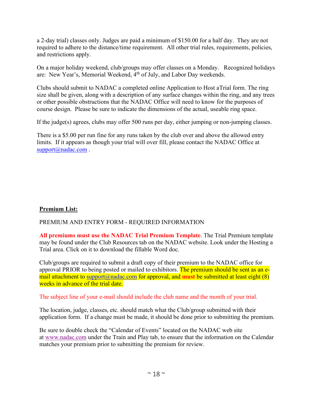a 2-day trial) classes only. Judges are paid a minimum of \$150.00 for a half day. They are not required to adhere to the distance/time requirement. All other trial rules, requirements, policies, and restrictions apply.

On a major holiday weekend, club/groups may offer classes on a Monday. Recognized holidays are: New Year's, Memorial Weekend, 4th of July, and Labor Day weekends.

Clubs should submit to NADAC a completed online Application to Host aTrial form. The ring size shall be given, along with a description of any surface changes within the ring, and any trees or other possible obstructions that the NADAC Office will need to know for the purposes of course design. Please be sure to indicate the dimensions of the actual, useable ring space.

If the judge(s) agrees, clubs may offer 500 runs per day, either jumping or non-jumping classes.

There is a \$5.00 per run fine for any runs taken by the club over and above the allowed entry limits. If it appears as though your trial will over fill, please contact the NADAC Office at [support@nadac.com](mailto:support@nadac.com).

# **Premium List:**

# PREMIUM AND ENTRY FORM - REQUIRED INFORMATION

**All premiums must use the NADAC Trial Premium Template**. The Trial Premium template may be found under the Club Resources tab on the NADAC website. Look under the Hosting a Trial area. Click on it to download the fillable Word doc.

Club/groups are required to submit a draft copy of their premium to the NADAC office for approval PRIOR to being posted or mailed to exhibitors. The premium should be sent as an email attachment to [support@nadac.com](mailto:support@nadac.com) for approval, and **must** be submitted at least eight (8) weeks in advance of the trial date.

## The subject line of your e-mail should include the club name and the month of your trial.

The location, judge, classes, etc. should match what the Club/group submitted with their application form. If a change must be made, it should be done prior to submitting the premium.

Be sure to double check the "Calendar of Events" located on the NADAC web site at [www.nadac.com](http://www.nadac.com/) under the Train and Play tab, to ensure that the information on the Calendar matches your premium prior to submitting the premium for review.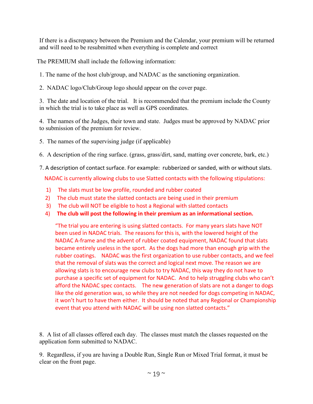If there is a discrepancy between the Premium and the Calendar, your premium will be returned and will need to be resubmitted when everything is complete and correct

The PREMIUM shall include the following information:

1. The name of the host club/group, and NADAC as the sanctioning organization.

2. NADAC logo/Club/Group logo should appear on the cover page.

3. The date and location of the trial. It is recommended that the premium include the County in which the trial is to take place as well as GPS coordinates.

4. The names of the Judges, their town and state. Judges must be approved by NADAC prior to submission of the premium for review.

- 5. The names of the supervising judge (if applicable)
- 6. A description of the ring surface. (grass, grass/dirt, sand, matting over concrete, bark, etc.)
- 7. A description of contact surface. For example: rubberized or sanded, with or without slats.

NADAC is currently allowing clubs to use Slatted contacts with the following stipulations:

- 1) The slats must be low profile, rounded and rubber coated
- 2) The club must state the slatted contacts are being used in their premium
- 3) The club will NOT be eligible to host a Regional with slatted contacts
- 4) **The club will post the following in their premium as an informational section.**

"The trial you are entering is using slatted contacts. For many years slats have NOT been used in NADAC trials. The reasons for this is, with the lowered height of the NADAC A-frame and the advent of rubber coated equipment, NADAC found that slats became entirely useless in the sport. As the dogs had more than enough grip with the rubber coatings. NADAC was the first organization to use rubber contacts, and we feel that the removal of slats was the correct and logical next move. The reason we are allowing slats is to encourage new clubs to try NADAC, this way they do not have to purchase a specific set of equipment for NADAC. And to help struggling clubs who can't afford the NADAC spec contacts. The new generation of slats are not a danger to dogs like the old generation was, so while they are not needed for dogs competing in NADAC, it won't hurt to have them either. It should be noted that any Regional or Championship event that you attend with NADAC will be using non slatted contacts."

8. A list of all classes offered each day. The classes must match the classes requested on the application form submitted to NADAC.

9. Regardless, if you are having a Double Run, Single Run or Mixed Trial format, it must be clear on the front page.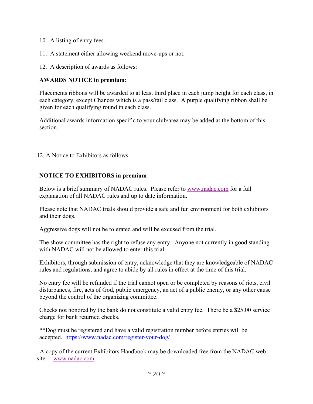- 10. A listing of entry fees.
- 11. A statement either allowing weekend move-ups or not.
- 12. A description of awards as follows:

# **AWARDS NOTICE in premium:**

Placements ribbons will be awarded to at least third place in each jump height for each class, in each category, except Chances which is a pass/fail class. A purple qualifying ribbon shall be given for each qualifying round in each class.

Additional awards information specific to your club/area may be added at the bottom of this section.

12. A Notice to Exhibitors as follows:

# **NOTICE TO EXHIBITORS in premium**

Below is a brief summary of NADAC rules. Please refer to [www.nadac.com](http://www.nadac.com/) for a full explanation of all NADAC rules and up to date information.

Please note that NADAC trials should provide a safe and fun environment for both exhibitors and their dogs.

Aggressive dogs will not be tolerated and will be excused from the trial.

The show committee has the right to refuse any entry. Anyone not currently in good standing with NADAC will not be allowed to enter this trial.

Exhibitors, through submission of entry, acknowledge that they are knowledgeable of NADAC rules and regulations, and agree to abide by all rules in effect at the time of this trial.

No entry fee will be refunded if the trial cannot open or be completed by reasons of riots, civil disturbances, fire, acts of God, public emergency, an act of a public enemy, or any other cause beyond the control of the organizing committee.

Checks not honored by the bank do not constitute a valid entry fee. There be a \$25.00 service charge for bank returned checks.

\*\*Dog must be registered and have a valid registration number before entries will be accepted. https://www.nadac.com/register-your-dog/

 A copy of the current Exhibitors Handbook may be downloaded free from the NADAC web site: [www.nadac.com](http://www.nadac.com/)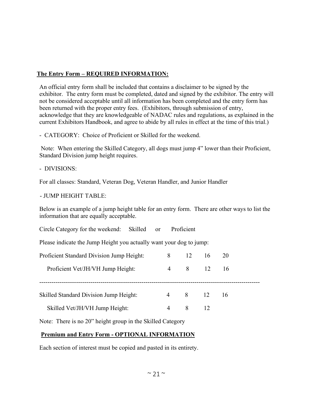# **The Entry Form – REQUIRED INFORMATION:**

An official entry form shall be included that contains a disclaimer to be signed by the exhibitor. The entry form must be completed, dated and signed by the exhibitor. The entry will not be considered acceptable until all information has been completed and the entry form has been returned with the proper entry fees. (Exhibitors, through submission of entry, acknowledge that they are knowledgeable of NADAC rules and regulations, as explained in the current Exhibitors Handbook, and agree to abide by all rules in effect at the time of this trial.)

- CATEGORY: Choice of Proficient or Skilled for the weekend.

Note: When entering the Skilled Category, all dogs must jump 4" lower than their Proficient, Standard Division jump height requires.

- DIVISIONS:

For all classes: Standard, Veteran Dog, Veteran Handler, and Junior Handler

- JUMP HEIGHT TABLE:

Below is an example of a jump height table for an entry form. There are other ways to list the information that are equally acceptable.

Circle Category for the weekend: Skilled or Proficient

Please indicate the Jump Height you actually want your dog to jump:

| Proficient Standard Division Jump Height: | 8              | 12             | 16  | 20  |
|-------------------------------------------|----------------|----------------|-----|-----|
| Proficient Vet/JH/VH Jump Height:         |                | $4 \t 8 \t 12$ |     | -16 |
| Skilled Standard Division Jump Height:    | $\overline{4}$ | 8 12           |     | -16 |
| Skilled Vet/JH/VH Jump Height:            | 4              | 8              | -12 |     |

Note: There is no 20" height group in the Skilled Category

# **Premium and Entry Form - OPTIONAL INFORMATION**

Each section of interest must be copied and pasted in its entirety.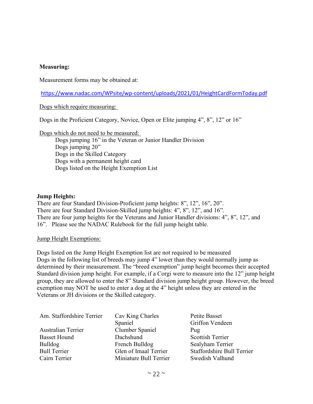#### **Measuring:**

Measurement forms may be obtained at:

<https://www.nadac.com/WPsite/wp-content/uploads/2021/01/HeightCardFormToday.pdf>

Dogs which require measuring:

Dogs in the Proficient Category, Novice, Open or Elite jumping 4", 8", 12" or 16"

Dogs which do not need to be measured:

 Dogs jumping 16" in the Veteran or Junior Handler Division Dogs jumping 20" Dogs in the Skilled Category Dogs with a permanent height card Dogs listed on the Height Exemption List

#### **Jump Heights:**

There are four Standard Division-Proficient jump heights: 8", 12", 16", 20". There are four Standard Division-Skilled jump heights: 4", 8", 12", and 16". There are four jump heights for the Veterans and Junior Handler divisions: 4", 8", 12", and 16". Please see the NADAC Rulebook for the full jump height table.

Jump Height Exemptions:

Dogs listed on the Jump Height Exemption list are not required to be measured Dogs in the following list of breeds may jump 4" lower than they would normally jump as determined by their measurement. The "breed exemption" jump height becomes their accepted Standard division jump height. For example, if a Corgi were to measure into the 12" jump height group, they are allowed to enter the 8" Standard division jump height group. However, the breed exemption may NOT be used to enter a dog at the 4" height unless they are entered in the Veterans or JH divisions or the Skilled category.

| Am. Staffordshire Terrier | Cav King Charles       | Petite Basset                     |
|---------------------------|------------------------|-----------------------------------|
|                           | Spaniel                | Griffon Vendeen                   |
| <b>Australian Terrier</b> | Clumber Spaniel        | Pug                               |
| <b>Basset Hound</b>       | Dachshund              | <b>Scottish Terrier</b>           |
| <b>Bulldog</b>            | French Bulldog         | Sealyham Terrier                  |
| <b>Bull Terrier</b>       | Glen of Imaal Terrier  | <b>Staffordshire Bull Terrier</b> |
| Cairn Terrier             | Miniature Bull Terrier | Swedish Valhund                   |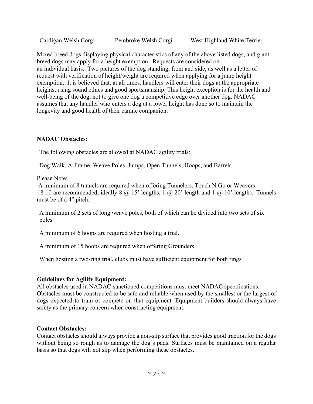Cardigan Welsh Corgi Pembroke Welsh Corgi West Highland White Terrier

Mixed breed dogs displaying physical characteristics of any of the above listed dogs, and giant breed dogs may apply for a height exemption. Requests are considered on an individual basis. Two pictures of the dog standing, front and side, as well as a letter of request with verification of height/weight are required when applying for a jump height exemption. It is believed that, at all times, handlers will enter their dogs at the appropriate heights, using sound ethics and good sportsmanship. This height exception is for the health and well-being of the dog, not to give one dog a competitive edge over another dog. NADAC assumes that any handler who enters a dog at a lower height has done so to maintain the longevity and good health of their canine companion.

## **NADAC Obstacles:**

The following obstacles are allowed at NADAC agility trials:

Dog Walk, A-Frame, Weave Poles, Jumps, Open Tunnels, Hoops, and Barrels.

Please Note:

A minimum of 8 tunnels are required when offering Tunnelers, Touch N Go or Weavers (8-10 are recommended, ideally  $8 \text{ (a)} 15$ ' lengths,  $1 \text{ (a)} 20$ ' length and  $1 \text{ (a)} 10$ ' length). Tunnels must be of a 4" pitch.

A minimum of 2 sets of long weave poles, both of which can be divided into two sets of six poles

A minimum of 6 hoops are required when hosting a trial.

A minimum of 15 hoops are required when offering Grounders

When hosting a two-ring trial, clubs must have sufficient equipment for both rings

## **Guidelines for Agility Equipment:**

All obstacles used in NADAC-sanctioned competitions must meet NADAC specifications. Obstacles must be constructed to be safe and reliable when used by the smallest or the largest of dogs expected to train or compete on that equipment. Equipment builders should always have safety as the primary concern when constructing equipment.

## **Contact Obstacles:**

Contact obstacles should always provide a non-slip surface that provides good traction for the dogs without being so rough as to damage the dog's pads. Surfaces must be maintained on a regular basis so that dogs will not slip when performing these obstacles.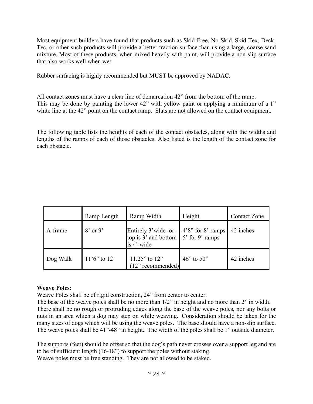Most equipment builders have found that products such as Skid-Free, No-Skid, Skid-Tex, Deck-Tec, or other such products will provide a better traction surface than using a large, coarse sand mixture. Most of these products, when mixed heavily with paint, will provide a non-slip surface that also works well when wet.

Rubber surfacing is highly recommended but MUST be approved by NADAC.

All contact zones must have a clear line of demarcation 42" from the bottom of the ramp. This may be done by painting the lower 42" with yellow paint or applying a minimum of a 1" white line at the 42" point on the contact ramp. Slats are not allowed on the contact equipment.

The following table lists the heights of each of the contact obstacles, along with the widths and lengths of the ramps of each of those obstacles. Also listed is the length of the contact zone for each obstacle.

|          | Ramp Length       | Ramp Width                                                                                                            | Height       | <b>Contact Zone</b> |
|----------|-------------------|-----------------------------------------------------------------------------------------------------------------------|--------------|---------------------|
| A-frame  | $8'$ or 9'        | Entirely 3'wide -or- $\vert$ 4'8" for 8' ramps<br>top is $3'$ and bottom $\left[5'\right]$ for 9' ramps<br>is 4' wide |              | 42 inches           |
| Dog Walk | $11'6''$ to $12'$ | $\begin{bmatrix} 11.25" \text{ to } 12" \\ (12" \text{ recommended}) \end{bmatrix}$                                   | 46" to $50"$ | 42 inches           |

## **Weave Poles:**

Weave Poles shall be of rigid construction, 24" from center to center.

The base of the weave poles shall be no more than 1/2" in height and no more than 2" in width. There shall be no rough or protruding edges along the base of the weave poles, nor any bolts or nuts in an area which a dog may step on while weaving. Consideration should be taken for the many sizes of dogs which will be using the weave poles. The base should have a non-slip surface. The weave poles shall be 41"-48" in height. The width of the poles shall be 1" outside diameter.

The supports (feet) should be offset so that the dog's path never crosses over a support leg and are to be of sufficient length (16-18") to support the poles without staking. Weave poles must be free standing. They are not allowed to be staked.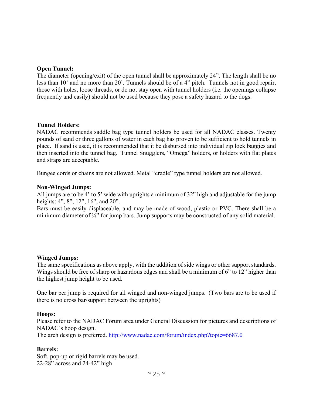#### **Open Tunnel:**

The diameter (opening/exit) of the open tunnel shall be approximately 24". The length shall be no less than 10' and no more than 20'. Tunnels should be of a 4" pitch. Tunnels not in good repair, those with holes, loose threads, or do not stay open with tunnel holders (i.e. the openings collapse frequently and easily) should not be used because they pose a safety hazard to the dogs.

#### **Tunnel Holders:**

NADAC recommends saddle bag type tunnel holders be used for all NADAC classes. Twenty pounds of sand or three gallons of water in each bag has proven to be sufficient to hold tunnels in place. If sand is used, it is recommended that it be disbursed into individual zip lock baggies and then inserted into the tunnel bag. Tunnel Snugglers, "Omega" holders, or holders with flat plates and straps are acceptable.

Bungee cords or chains are not allowed. Metal "cradle" type tunnel holders are not allowed.

#### **Non-Winged Jumps:**

All jumps are to be 4' to 5' wide with uprights a minimum of 32" high and adjustable for the jump heights: 4", 8", 12", 16", and 20".

Bars must be easily displaceable, and may be made of wood, plastic or PVC. There shall be a minimum diameter of <sup>3</sup>/4<sup>2</sup> for jump bars. Jump supports may be constructed of any solid material.

#### **Winged Jumps:**

The same specifications as above apply, with the addition of side wings or other support standards. Wings should be free of sharp or hazardous edges and shall be a minimum of 6" to 12" higher than the highest jump height to be used.

One bar per jump is required for all winged and non-winged jumps. (Two bars are to be used if there is no cross bar/support between the uprights)

#### **Hoops:**

Please refer to the NADAC Forum area under General Discussion for pictures and descriptions of NADAC's hoop design.

The arch design is preferred. http://www.nadac.com/forum/index.php?topic=6687.0

#### **Barrels:**

Soft, pop-up or rigid barrels may be used. 22-28" across and 24-42" high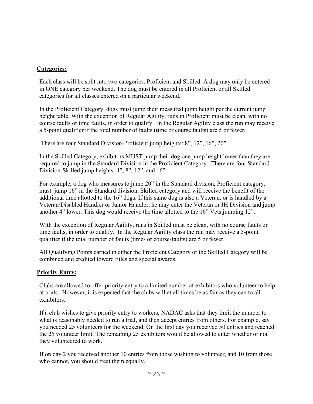## **Categories:**

Each class will be split into two categories, Proficient and Skilled. A dog may only be entered in ONE category per weekend. The dog must be entered in all Proficient or all Skilled categories for all classes entered on a particular weekend.

In the Proficient Category, dogs must jump their measured jump height per the current jump height table. With the exception of Regular Agility, runs in Proficient must be clean, with no course faults or time faults, in order to qualify. In the Regular Agility class the run may receive a 5-point qualifier if the total number of faults (time or course faults) are 5 or fewer.

There are four Standard Division-Proficient jump heights: 8", 12", 16", 20".

In the Skilled Category, exhibitors MUST jump their dog one jump height lower than they are required to jump in the Standard Division in the Proficient Category. There are four Standard Division-Skilled jump heights: 4", 8", 12", and 16".

For example, a dog who measures to jump 20" in the Standard division, Proficient category, must jump 16" in the Standard division, Skilled category and will receive the benefit of the additional time allotted to the 16" dogs. If this same dog is also a Veteran, or is handled by a Veteran/Disabled Handler or Junior Handler, he may enter the Veteran or JH Division and jump another 4" lower. This dog would receive the time allotted to the 16" Vets jumping 12".

With the exception of Regular Agility, runs in Skilled must be clean, with no course faults or time faults, in order to qualify. In the Regular Agility class the run may receive a 5-point qualifier if the total number of faults (time- or course-faults) are 5 or fewer.

All Qualifying Points earned in either the Proficient Category or the Skilled Category will be combined and credited toward titles and special awards.

# **Priority Entry:**

Clubs are allowed to offer priority entry to a limited number of exhibitors who volunteer to help at trials. However, it is expected that the clubs will at all times be as fair as they can to all exhibitors.

If a club wishes to give priority entry to workers, NADAC asks that they limit the number to what is reasonably needed to run a trial, and then accept entries from others. For example, say you needed 25 volunteers for the weekend. On the first day you received 50 entries and reached the 25 volunteer limit. The remaining 25 exhibitors would be allowed to enter whether or not they volunteered to work.

If on day 2 you received another 10 entries from those wishing to volunteer, and 10 from those who cannot, you should treat them equally.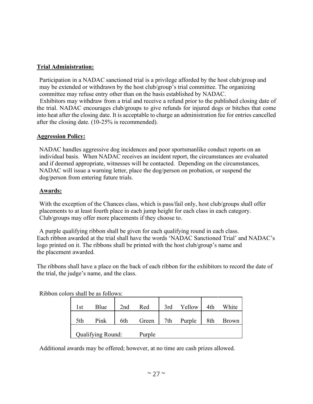## **Trial Administration:**

Participation in a NADAC sanctioned trial is a privilege afforded by the host club/group and may be extended or withdrawn by the host club/group's trial committee. The organizing committee may refuse entry other than on the basis established by NADAC.

 Exhibitors may withdraw from a trial and receive a refund prior to the published closing date of the trial. NADAC encourages club/groups to give refunds for injured dogs or bitches that come into heat after the closing date. It is acceptable to charge an administration fee for entries cancelled after the closing date. (10-25% is recommended).

## **Aggression Policy:**

NADAC handles aggressive dog incidences and poor sportsmanlike conduct reports on an individual basis. When NADAC receives an incident report, the circumstances are evaluated and if deemed appropriate, witnesses will be contacted. Depending on the circumstances, NADAC will issue a warning letter, place the dog/person on probation, or suspend the dog/person from entering future trials.

## **Awards:**

With the exception of the Chances class, which is pass/fail only, host club/groups shall offer placements to at least fourth place in each jump height for each class in each category. Club/groups may offer more placements if they choose to.

A purple qualifying ribbon shall be given for each qualifying round in each class. Each ribbon awarded at the trial shall have the words 'NADAC Sanctioned Trial' and NADAC's logo printed on it. The ribbons shall be printed with the host club/group's name and the placement awarded.

The ribbons shall have a place on the back of each ribbon for the exhibitors to record the date of the trial, the judge's name, and the class.

Ribbon colors shall be as follows:

| 1st | Blue              | 2nd | Red    | 3rd | Yellow | 4th | White        |
|-----|-------------------|-----|--------|-----|--------|-----|--------------|
| 5th | Pink              | 6th | Green  | 7th | Purple | 8th | <b>Brown</b> |
|     | Qualifying Round: |     | Purple |     |        |     |              |

Additional awards may be offered; however, at no time are cash prizes allowed.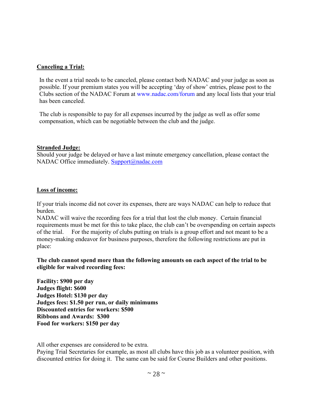#### **Canceling a Trial:**

In the event a trial needs to be canceled, please contact both NADAC and your judge as soon as possible. If your premium states you will be accepting 'day of show' entries, please post to the Clubs section of the NADAC Forum at www.nadac.com/forum and any local lists that your trial has been canceled.

The club is responsible to pay for all expenses incurred by the judge as well as offer some compensation, which can be negotiable between the club and the judge.

#### **Stranded Judge:**

Should your judge be delayed or have a last minute emergency cancellation, please contact the NADAC Office immediately. [Support@nadac.com](mailto:Support@nadac.com)

#### **Loss of income:**

If your trials income did not cover its expenses, there are ways NADAC can help to reduce that burden.

NADAC will waive the recording fees for a trial that lost the club money. Certain financial requirements must be met for this to take place, the club can't be overspending on certain aspects of the trial. For the majority of clubs putting on trials is a group effort and not meant to be a money-making endeavor for business purposes, therefore the following restrictions are put in place:

**The club cannot spend more than the following amounts on each aspect of the trial to be eligible for waived recording fees:**

**Facility: \$900 per day Judges flight: \$600 Judges Hotel: \$130 per day Judges fees: \$1.50 per run, or daily minimums Discounted entries for workers: \$500 Ribbons and Awards: \$300 Food for workers: \$150 per day**

All other expenses are considered to be extra.

Paying Trial Secretaries for example, as most all clubs have this job as a volunteer position, with discounted entries for doing it. The same can be said for Course Builders and other positions.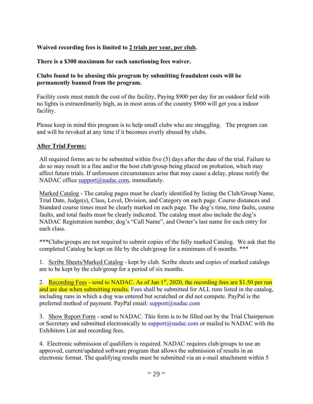# **Waived recording fees is limited to 2 trials per year, per club.**

## **There is a \$300 maximum for each sanctioning fees waiver.**

## **Clubs found to be abusing this program by submitting fraudulent costs will be permanently banned from the program.**

Facility costs must match the cost of the facility, Paying \$900 per day for an outdoor field with no lights is extraordinarily high, as in most areas of the country \$900 will get you a indoor facility.

Please keep in mind this program is to help small clubs who are struggling. The program can and will be revoked at any time if it becomes overly abused by clubs.

## **After Trial Forms:**

All required forms are to be submitted within five (5) days after the date of the trial. Failure to do so may result in a fine and/or the host club/group being placed on probation, which may affect future trials. If unforeseen circumstances arise that may cause a delay, please notify the NADAC office support@nadac.com, immediately.

Marked Catalog - The catalog pages must be clearly identified by listing the Club/Group Name, Trial Date, Judge(s), Class, Level, Division, and Category on each page. Course distances and Standard course times must be clearly marked on each page. The dog's time, time faults, course faults, and total faults must be clearly indicated. The catalog must also include the dog's NADAC Registration number, dog's "Call Name", and Owner's last name for each entry for each class.

\*\*\*Clubs/groups are not required to submit copies of the fully marked Catalog. We ask that the completed Catalog be kept on file by the club/group for a minimum of 6 months. \*\*\*

1. Scribe Sheets/Marked Catalog - kept by club. Scribe sheets and copies of marked catalogs are to be kept by the club/group for a period of six months.

2. Recording Fees - send to NADAC. As of Jan  $1<sup>st</sup>$ , 2020, the recording fees are \$1.50 per run and are due when submitting results. Fees shall be submitted for ALL runs listed in the catalog, including runs in which a dog was entered but scratched or did not compete. PayPal is the preferred method of payment. PayPal email: support@nadac.com

3. Show Report Form - send to NADAC. This form is to be filled out by the Trial Chairperson or Secretary and submitted electronically to  $\text{support}(Q \text{ndac.com})$  or mailed to NADAC with the Exhibitors List and recording fees.

4. Electronic submission of qualifiers is required. NADAC requires club/groups to use an approved, current/updated software program that allows the submission of results in an electronic format. The qualifying results must be submitted via an e-mail attachment within 5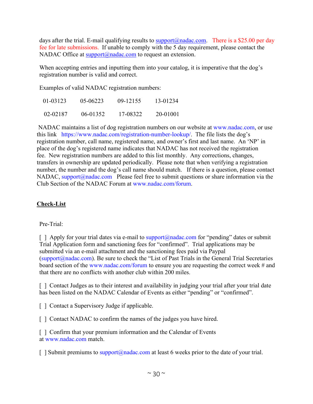days after the trial. E-mail qualifying results to  $\frac{\text{support}(Q)\text{ndac.com}}{\text{mod}(Q)}$ . There is a \$25.00 per day fee for late submissions. If unable to comply with the 5 day requirement, please contact the NADAC Office at support@nadac.com to request an extension.

When accepting entries and inputting them into your catalog, it is imperative that the dog's registration number is valid and correct.

Examples of valid NADAC registration numbers:

| 01-03123 | $05 - 06223$ | 09-12155 | 13-01234 |
|----------|--------------|----------|----------|
| 02-02187 | $06 - 01352$ | 17-08322 | 20-01001 |

NADAC maintains a list of dog registration numbers on our website at [www.nadac.com,](http://www.nadac.com/) or use this link https://www.nadac.com/registration-number-lookup/. The file lists the dog's registration number, call name, registered name, and owner's first and last name. An 'NP' in place of the dog's registered name indicates that NADAC has not received the registration fee. New registration numbers are added to this list monthly. Any corrections, changes, transfers in ownership are updated periodically. Please note that when verifying a registration number, the number and the dog's call name should match. If there is a question, please contact NADAC, [support@nadac.com](mailto:support@nadac.com) Please feel free to submit questions or share information via the Club Section of the NADAC Forum at www.nadac.com/forum.

# **Check-List**

## Pre-Trial:

[ ] Apply for your trial dates via e-mail to support  $\widehat{a}$  nadac.com for "pending" dates or submit Trial Application form and sanctioning fees for "confirmed". Trial applications may be submitted via an e-mail attachment and the sanctioning fees paid via Paypal  $(support@nadac.com)$ . Be sure to check the "List of Past Trials in the General Trial Secretaries board section of the www.nadac.com/forum to ensure you are requesting the correct week # and that there are no conflicts with another club within 200 miles.

[] Contact Judges as to their interest and availability in judging your trial after your trial date has been listed on the NADAC Calendar of Events as either "pending" or "confirmed".

[ ] Contact a Supervisory Judge if applicable.

[ ] Contact NADAC to confirm the names of the judges you have hired.

[] Confirm that your premium information and the Calendar of Events at [www.nadac.com](http://www.nadac.com/) match.

[ ] Submit premiums to support@nadac.com at least 6 weeks prior to the date of your trial.